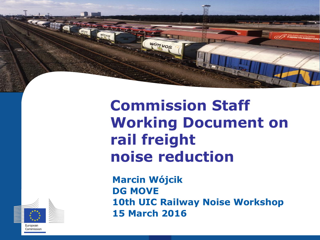

wim vos



**Marcin Wójcik DG MOVE 10th UIC Railway Noise Workshop 15 March 2016**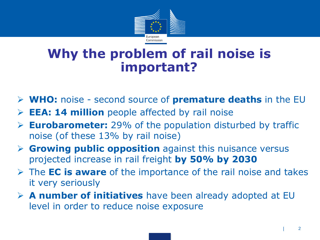

#### **Why the problem of rail noise is important?**

- **WHO:** noise second source of **premature deaths** in the EU
- **EEA: 14 million** people affected by rail noise
- **Eurobarometer:** 29% of the population disturbed by traffic noise (of these 13% by rail noise)
- **Growing public opposition** against this nuisance versus projected increase in rail freight **by 50% by 2030**
- The **EC is aware** of the importance of the rail noise and takes it very seriously
- **A number of initiatives** have been already adopted at EU level in order to reduce noise exposure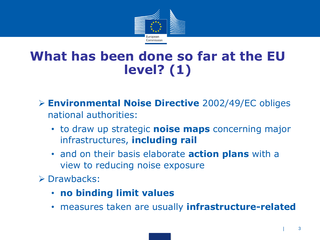

### **What has been done so far at the EU level? (1)**

- **Environmental Noise Directive** 2002/49/EC obliges national authorities:
	- to draw up strategic **noise maps** concerning major infrastructures, **including rail**
	- and on their basis elaborate **action plans** with a view to reducing noise exposure
- $\triangleright$  Drawbacks:
	- **no binding limit values**
	- measures taken are usually **infrastructure-related**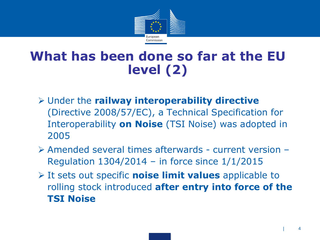

#### **What has been done so far at the EU level (2)**

- Under the **railway interoperability directive**  (Directive 2008/57/EC), a Technical Specification for Interoperability **on Noise** (TSI Noise) was adopted in 2005
- Amended several times afterwards current version Regulation 1304/2014 – in force since 1/1/2015
- It sets out specific **noise limit values** applicable to rolling stock introduced **after entry into force of the TSI Noise**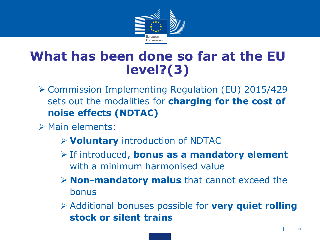

#### **What has been done so far at the EU level?(3)**

- Commission Implementing Regulation (EU) 2015/429 sets out the modalities for **charging for the cost of noise effects (NDTAC)**
- $\triangleright$  Main elements:
	- **Voluntary** introduction of NDTAC
	- If introduced, **bonus as a mandatory element**  with a minimum harmonised value
	- **Non-mandatory malus** that cannot exceed the bonus
	- Additional bonuses possible for **very quiet rolling stock or silent trains**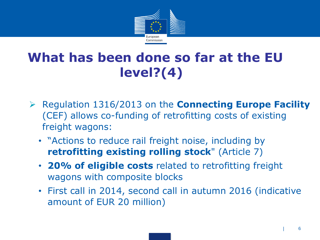

# **What has been done so far at the EU level?(4)**

- Regulation 1316/2013 on the **Connecting Europe Facility**  (CEF) allows co-funding of retrofitting costs of existing freight wagons:
	- "Actions to reduce rail freight noise, including by **retrofitting existing rolling stock**" (Article 7)
	- **20% of eligible costs** related to retrofitting freight wagons with composite blocks
	- First call in 2014, second call in autumn 2016 (indicative amount of EUR 20 million)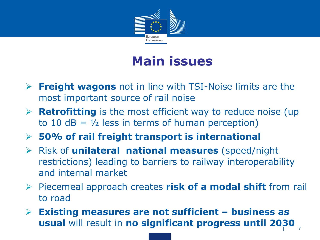

### **Main issues**

- **Freight wagons** not in line with TSI-Noise limits are the most important source of rail noise
- **Retrofitting** is the most efficient way to reduce noise (up to 10 dB =  $\frac{1}{2}$  less in terms of human perception)
- **50% of rail freight transport is international**
- Risk of **unilateral national measures** (speed/night restrictions) leading to barriers to railway interoperability and internal market
- Piecemeal approach creates **risk of a modal shift** from rail to road
- $\overline{)}$  7 **Existing measures are not sufficient – business as usual** will result in **no significant progress until 2030**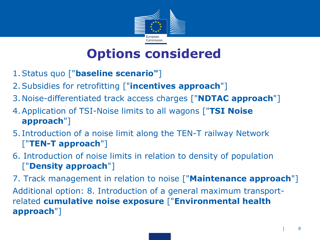

#### **Options considered**

- 1.Status quo ["**baseline scenario"**]
- 2.Subsidies for retrofitting ["**incentives approach**"]
- 3.Noise-differentiated track access charges ["**NDTAC approach**"]
- 4.Application of TSI-Noise limits to all wagons ["**TSI Noise approach**"]
- 5. Introduction of a noise limit along the TEN-T railway Network ["**TEN-T approach**"]
- 6. Introduction of noise limits in relation to density of population ["**Density approach**"]

7. Track management in relation to noise ["**Maintenance approach**"] Additional option: 8. Introduction of a general maximum transportrelated **cumulative noise exposure** ["**Environmental health approach**"]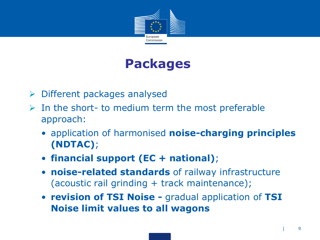

## **Packages**

- $\triangleright$  Different packages analysed
- $\triangleright$  In the short- to medium term the most preferable approach:
	- application of harmonised **noise-charging principles (NDTAC)**;
	- **financial support (EC + national)**;
	- **noise-related standards** of railway infrastructure (acoustic rail grinding + track maintenance);
	- **revision of TSI Noise -** gradual application of **TSI Noise limit values to all wagons**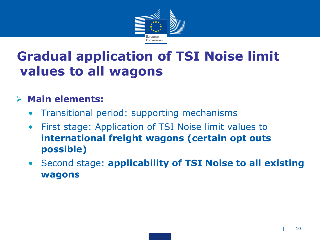

## **Gradual application of TSI Noise limit values to all wagons**

#### **Main elements:**

- Transitional period: supporting mechanisms
- First stage: Application of TSI Noise limit values to **international freight wagons (certain opt outs possible)**
- Second stage: **applicability of TSI Noise to all existing wagons**